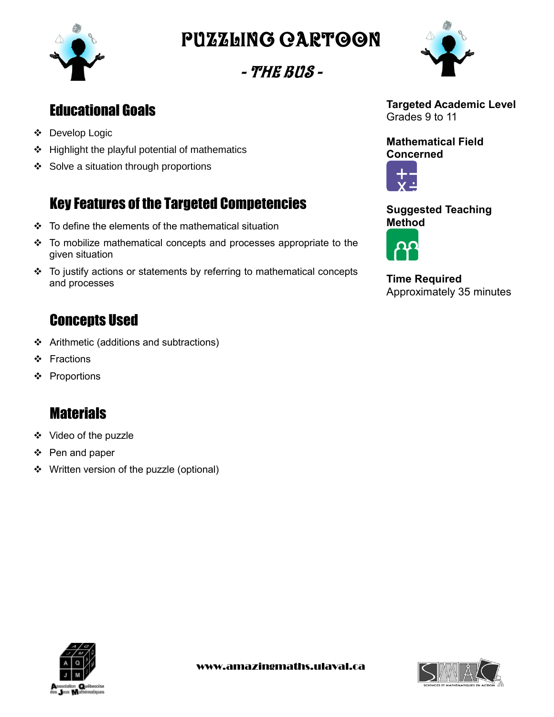

Puzzling cartoon

- The Bus -



- Develop Logic
- $\div$  Highlight the playful potential of mathematics
- ❖ Solve a situation through proportions

# Key Features of the Targeted Competencies

- To define the elements of the mathematical situation
- To mobilize mathematical concepts and processes appropriate to the given situation
- To justify actions or statements by referring to mathematical concepts and processes

## **Concepts Used**

- Arithmetic (additions and subtractions)
- ❖ Fractions
- ❖ Proportions

## **Materials**

- ❖ Video of the puzzle
- ❖ Pen and paper
- ❖ Written version of the puzzle (optional)



**Targeted Academic Level** Grades 9 to 11

**Mathematical Field Concerned**



**Suggested Teaching Method**



**Time Required** Approximately 35 minutes